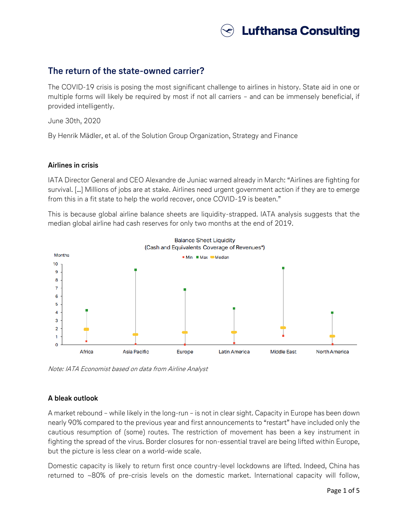

## **The return of the state-owned carrier?**

The COVID-19 crisis is posing the most significant challenge to airlines in history. State aid in one or multiple forms will likely be required by most if not all carriers – and can be immensely beneficial, if provided intelligently.

June 30th, 2020

By Henrik Mädler, et al. of the Solution Group Organization, Strategy and Finance

#### **Airlines in crisis**

IATA Director General and CEO Alexandre de Juniac warned already in March: "Airlines are fighting for survival. […] Millions of jobs are at stake. Airlines need urgent government action if they are to emerge from this in a fit state to help the world recover, once COVID-19 is beaten."

This is because global airline balance sheets are liquidity-strapped. IATA analysis suggests that the median global airline had cash reserves for only two months at the end of 2019.



Note: IATA Economist based on data from Airline Analyst

#### **A bleak outlook**

A market rebound – while likely in the long-run – is not in clear sight. Capacity in Europe has been down nearly 90% compared to the previous year and first announcements to "restart" have included only the cautious resumption of (some) routes. The restriction of movement has been a key instrument in fighting the spread of the virus. Border closures for non-essential travel are being lifted within Europe, but the picture is less clear on a world-wide scale.

Domestic capacity is likely to return first once country-level lockdowns are lifted. Indeed, China has returned to ~80% of pre-crisis levels on the domestic market. International capacity will follow,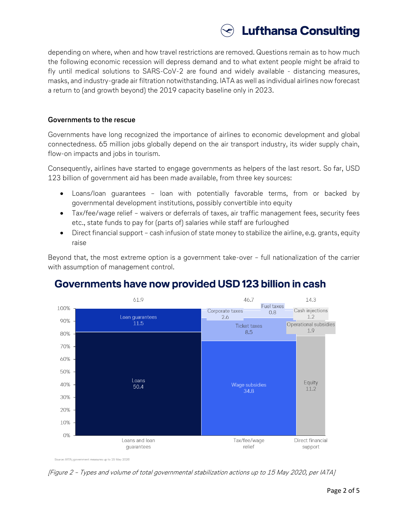

depending on where, when and how travel restrictions are removed. Questions remain as to how much the following economic recession will depress demand and to what extent people might be afraid to fly until medical solutions to SARS-CoV-2 are found and widely available - distancing measures, masks, and industry-grade air filtration notwithstanding. IATA as well as individual airlines now forecast a return to (and growth beyond) the 2019 capacity baseline only in 2023.

#### **Governments to the rescue**

Governments have long recognized the importance of airlines to economic development and global connectedness. 65 million jobs globally depend on the air transport industry, its wider supply chain, flow-on impacts and jobs in tourism.

Consequently, airlines have started to engage governments as helpers of the last resort. So far, USD 123 billion of government aid has been made available, from three key sources:

- Loans/loan guarantees loan with potentially favorable terms, from or backed by governmental development institutions, possibly convertible into equity
- Tax/fee/wage relief waivers or deferrals of taxes, air traffic management fees, security fees etc., state funds to pay for (parts of) salaries while staff are furloughed
- Direct financial support cash infusion of state money to stabilize the airline, e.g. grants, equity raise

Beyond that, the most extreme option is a government take-over – full nationalization of the carrier with assumption of management control.



# Governments have now provided USD 123 billion in cash

[Figure 2 – Types and volume of total governmental stabilization actions up to 15 May 2020, per IATA]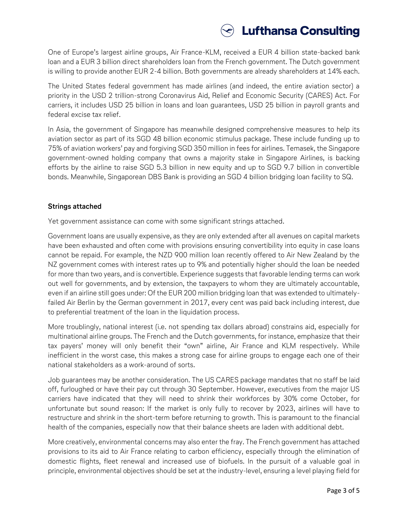

One of Europe's largest airline groups, Air France-KLM, received a EUR 4 billion state-backed bank loan and a EUR 3 billion direct shareholders loan from the French government. The Dutch government is willing to provide another EUR 2-4 billion. Both governments are already shareholders at 14% each.

The United States federal government has made airlines (and indeed, the entire aviation sector) a priority in the USD 2 trillion-strong Coronavirus Aid, Relief and Economic Security (CARES) Act. For carriers, it includes USD 25 billion in loans and loan guarantees, USD 25 billion in payroll grants and federal excise tax relief.

In Asia, the government of Singapore has meanwhile designed comprehensive measures to help its aviation sector as part of its SGD 48 billion economic stimulus package. These include funding up to 75% of aviation workers' pay and forgiving SGD 350 million in fees for airlines. Temasek, the Singapore government-owned holding company that owns a majority stake in Singapore Airlines, is backing efforts by the airline to raise SGD 5.3 billion in new equity and up to SGD 9.7 billion in convertible bonds. Meanwhile, Singaporean DBS Bank is providing an SGD 4 billion bridging loan facility to SQ.

### **Strings attached**

Yet government assistance can come with some significant strings attached.

Government loans are usually expensive, as they are only extended after all avenues on capital markets have been exhausted and often come with provisions ensuring convertibility into equity in case loans cannot be repaid. For example, the NZD 900 million loan recently offered to Air New Zealand by the NZ government comes with interest rates up to 9% and potentially higher should the loan be needed for more than two years, and is convertible. Experience suggests that favorable lending terms can work out well for governments, and by extension, the taxpayers to whom they are ultimately accountable, even if an airline still goes under: Of the EUR 200 million bridging loan that was extended to ultimatelyfailed Air Berlin by the German government in 2017, every cent was paid back including interest, due to preferential treatment of the loan in the liquidation process.

More troublingly, national interest (i.e. not spending tax dollars abroad) constrains aid, especially for multinational airline groups. The French and the Dutch governments, for instance, emphasize that their tax payers' money will only benefit their "own" airline, Air France and KLM respectively. While inefficient in the worst case, this makes a strong case for airline groups to engage each one of their national stakeholders as a work-around of sorts.

Job guarantees may be another consideration. The US CARES package mandates that no staff be laid off, furloughed or have their pay cut through 30 September. However, executives from the major US carriers have indicated that they will need to shrink their workforces by 30% come October, for unfortunate but sound reason: If the market is only fully to recover by 2023, airlines will have to restructure and shrink in the short-term before returning to growth. This is paramount to the financial health of the companies, especially now that their balance sheets are laden with additional debt.

More creatively, environmental concerns may also enter the fray. The French government has attached provisions to its aid to Air France relating to carbon efficiency, especially through the elimination of domestic flights, fleet renewal and increased use of biofuels. In the pursuit of a valuable goal in principle, environmental objectives should be set at the industry-level, ensuring a level playing field for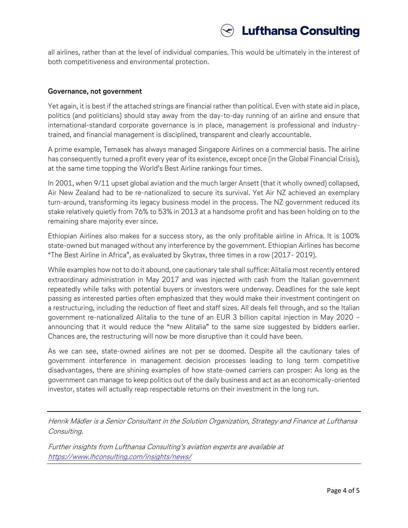

all airlines, rather than at the level of individual companies. This would be ultimately in the interest of both competitiveness and environmental protection.

#### **Governance, not government**

Yet again, it is best if the attached strings are financial rather than political. Even with state aid in place, politics (and politicians) should stay away from the day-to-day running of an airline and ensure that international-standard corporate governance is in place, management is professional and industrytrained, and financial management is disciplined, transparent and clearly accountable.

A prime example, Temasek has always managed Singapore Airlines on a commercial basis. The airline has consequently turned a profit every year of its existence, except once (in the Global Financial Crisis), at the same time topping the World's Best Airline rankings four times.

In 2001, when 9/11 upset global aviation and the much larger Ansett (that it wholly owned) collapsed, Air New Zealand had to be re-nationalized to secure its survival. Yet Air NZ achieved an exemplary turn-around, transforming its legacy business model in the process. The NZ government reduced its stake relatively quietly from 76% to 53% in 2013 at a handsome profit and has been holding on to the remaining share majority ever since.

Ethiopian Airlines also makes for a success story, as the only profitable airline in Africa. It is 100% state-owned but managed without any interference by the government. Ethiopian Airlines has become "The Best Airline in Africa", as evaluated by Skytrax, three times in a row (2017- 2019).

While examples how not to do it abound, one cautionary tale shall suffice: Alitalia most recently entered extraordinary administration in May 2017 and was injected with cash from the Italian government repeatedly while talks with potential buyers or investors were underway. Deadlines for the sale kept passing as interested parties often emphasized that they would make their investment contingent on a restructuring, including the reduction of fleet and staff sizes. All deals fell through, and so the Italian government re-nationalized Alitalia to the tune of an EUR 3 billion capital injection in May 2020 – announcing that it would reduce the "new Alitalia" to the same size suggested by bidders earlier. Chances are, the restructuring will now be more disruptive than it could have been.

As we can see, state-owned airlines are not per se doomed. Despite all the cautionary tales of government interference in management decision processes leading to long term competitive disadvantages, there are shining examples of how state-owned carriers can prosper: As long as the government can manage to keep politics out of the daily business and act as an economically-oriented investor, states will actually reap respectable returns on their investment in the long run.

Henrik Mädler is a Senior Consultant in the Solution Organization, Strategy and Finance at Lufthansa Consulting.

Further insights from Lufthansa Consulting's aviation experts are available at <https://www.lhconsulting.com/insights/news/>